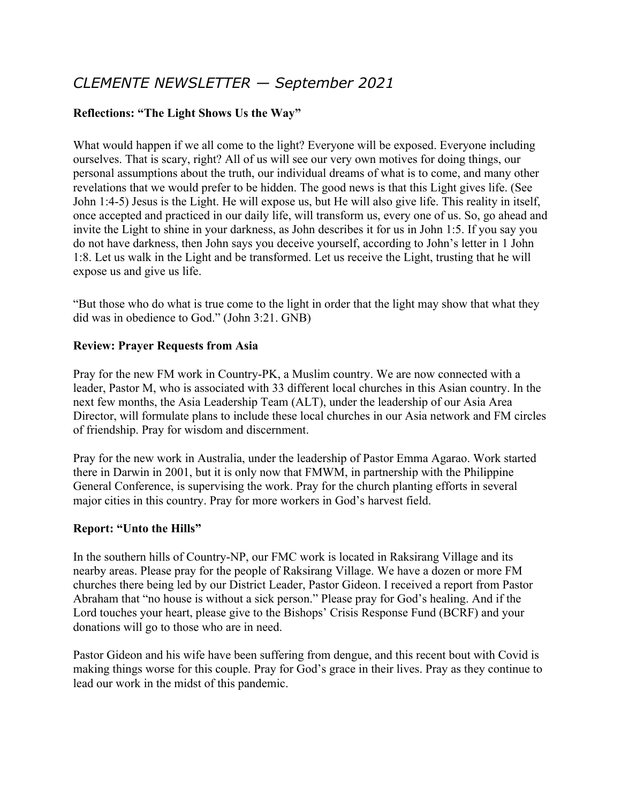# *CLEMENTE NEWSLETTER — September 2021*

## **Reflections: "The Light Shows Us the Way"**

What would happen if we all come to the light? Everyone will be exposed. Everyone including ourselves. That is scary, right? All of us will see our very own motives for doing things, our personal assumptions about the truth, our individual dreams of what is to come, and many other revelations that we would prefer to be hidden. The good news is that this Light gives life. (See John 1:4-5) Jesus is the Light. He will expose us, but He will also give life. This reality in itself, once accepted and practiced in our daily life, will transform us, every one of us. So, go ahead and invite the Light to shine in your darkness, as John describes it for us in John 1:5. If you say you do not have darkness, then John says you deceive yourself, according to John's letter in 1 John 1:8. Let us walk in the Light and be transformed. Let us receive the Light, trusting that he will expose us and give us life.

"But those who do what is true come to the light in order that the light may show that what they did was in obedience to God." (John 3:21. GNB)

### **Review: Prayer Requests from Asia**

Pray for the new FM work in Country-PK, a Muslim country. We are now connected with a leader, Pastor M, who is associated with 33 different local churches in this Asian country. In the next few months, the Asia Leadership Team (ALT), under the leadership of our Asia Area Director, will formulate plans to include these local churches in our Asia network and FM circles of friendship. Pray for wisdom and discernment.

Pray for the new work in Australia, under the leadership of Pastor Emma Agarao. Work started there in Darwin in 2001, but it is only now that FMWM, in partnership with the Philippine General Conference, is supervising the work. Pray for the church planting efforts in several major cities in this country. Pray for more workers in God's harvest field.

### **Report: "Unto the Hills"**

In the southern hills of Country-NP, our FMC work is located in Raksirang Village and its nearby areas. Please pray for the people of Raksirang Village. We have a dozen or more FM churches there being led by our District Leader, Pastor Gideon. I received a report from Pastor Abraham that "no house is without a sick person." Please pray for God's healing. And if the Lord touches your heart, please give to the Bishops' Crisis Response Fund (BCRF) and your donations will go to those who are in need.

Pastor Gideon and his wife have been suffering from dengue, and this recent bout with Covid is making things worse for this couple. Pray for God's grace in their lives. Pray as they continue to lead our work in the midst of this pandemic.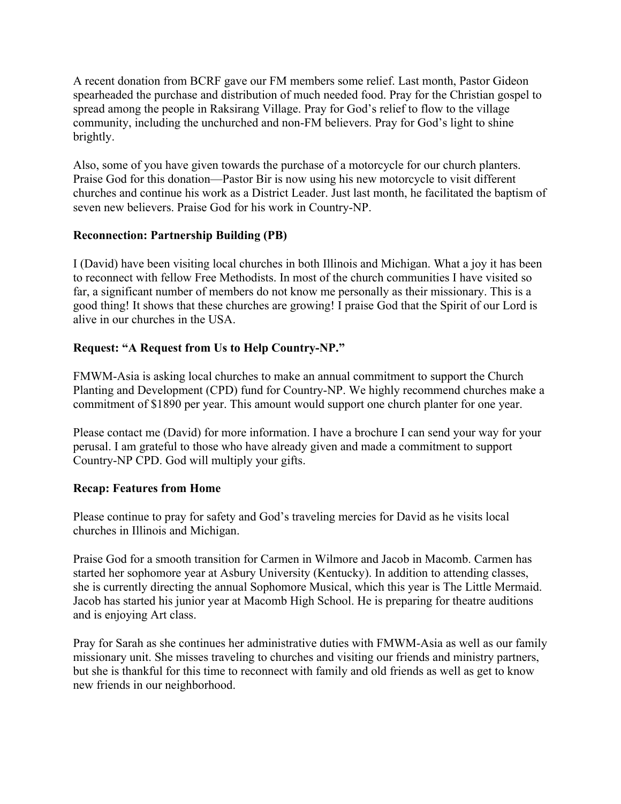A recent donation from BCRF gave our FM members some relief. Last month, Pastor Gideon spearheaded the purchase and distribution of much needed food. Pray for the Christian gospel to spread among the people in Raksirang Village. Pray for God's relief to flow to the village community, including the unchurched and non-FM believers. Pray for God's light to shine brightly.

Also, some of you have given towards the purchase of a motorcycle for our church planters. Praise God for this donation—Pastor Bir is now using his new motorcycle to visit different churches and continue his work as a District Leader. Just last month, he facilitated the baptism of seven new believers. Praise God for his work in Country-NP.

### **Reconnection: Partnership Building (PB)**

I (David) have been visiting local churches in both Illinois and Michigan. What a joy it has been to reconnect with fellow Free Methodists. In most of the church communities I have visited so far, a significant number of members do not know me personally as their missionary. This is a good thing! It shows that these churches are growing! I praise God that the Spirit of our Lord is alive in our churches in the USA.

# **Request: "A Request from Us to Help Country-NP."**

FMWM-Asia is asking local churches to make an annual commitment to support the Church Planting and Development (CPD) fund for Country-NP. We highly recommend churches make a commitment of \$1890 per year. This amount would support one church planter for one year.

Please contact me (David) for more information. I have a brochure I can send your way for your perusal. I am grateful to those who have already given and made a commitment to support Country-NP CPD. God will multiply your gifts.

### **Recap: Features from Home**

Please continue to pray for safety and God's traveling mercies for David as he visits local churches in Illinois and Michigan.

Praise God for a smooth transition for Carmen in Wilmore and Jacob in Macomb. Carmen has started her sophomore year at Asbury University (Kentucky). In addition to attending classes, she is currently directing the annual Sophomore Musical, which this year is The Little Mermaid. Jacob has started his junior year at Macomb High School. He is preparing for theatre auditions and is enjoying Art class.

Pray for Sarah as she continues her administrative duties with FMWM-Asia as well as our family missionary unit. She misses traveling to churches and visiting our friends and ministry partners, but she is thankful for this time to reconnect with family and old friends as well as get to know new friends in our neighborhood.